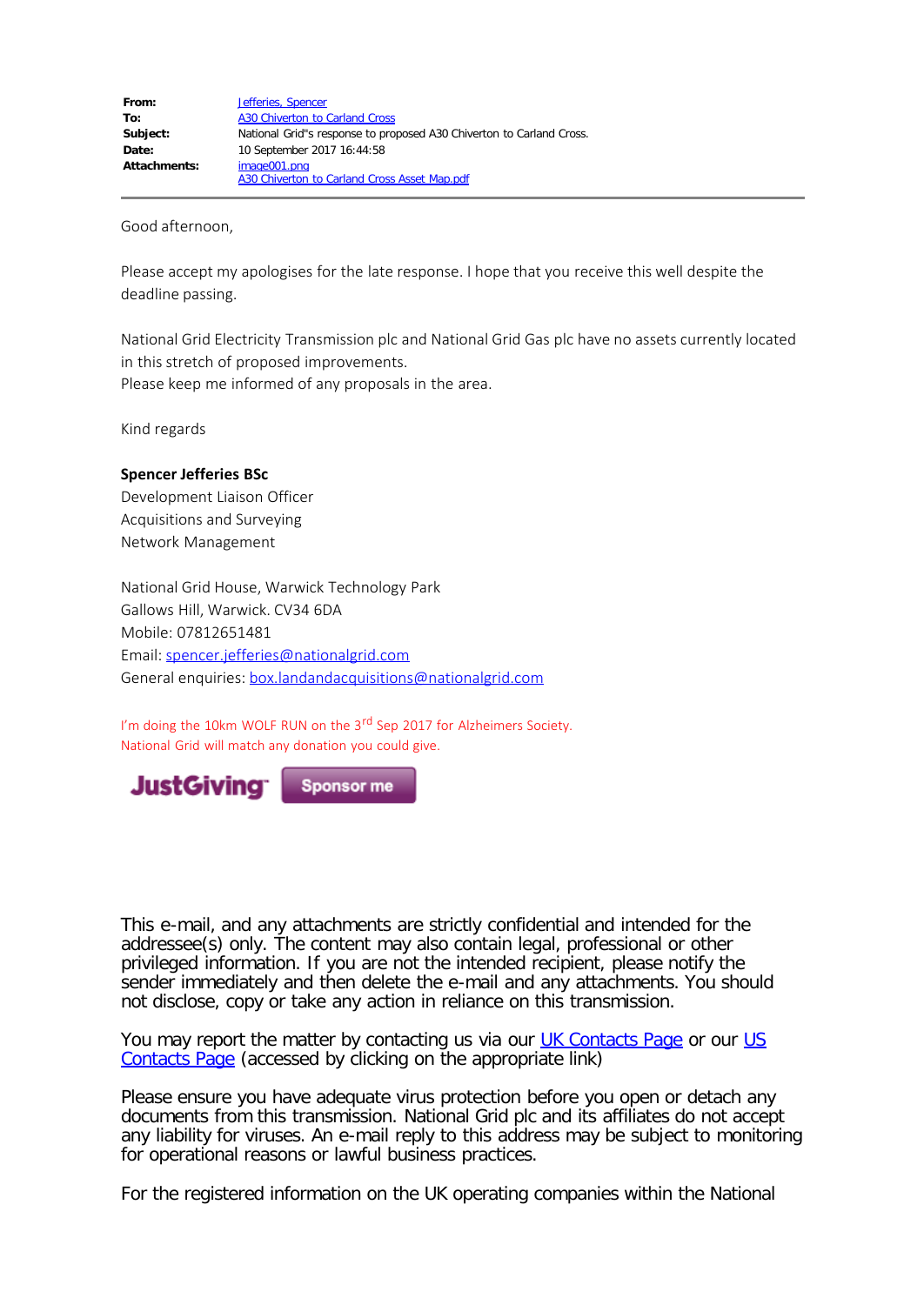Good afternoon,

Please accept my apologises for the late response. I hope that you receive this well despite the deadline passing.

National Grid Electricity Transmission plc and National Grid Gas plc have no assets currently located in this stretch of proposed improvements. Please keep me informed of any proposals in the area.

Kind regards

## **Spencer Jefferies BSc**

Development Liaison Officer Acquisitions and Surveying Network Management

National Grid House, Warwick Technology Park Gallows Hill, Warwick. CV34 6DA Mobile: 07812651481 Email: [spencer.jefferies@nationalgrid.com](mailto:spencer.jefferies@nationalgrid.com) General enquiries: [box.landandacquisitions@nationalgrid.com](mailto:box.landandacquisitions@nationalgrid.com)

I'm doing the 10km WOLF RUN on the 3<sup>rd</sup> Sep 2017 for Alzheimers Society. National Grid will match any donation you could give.



This e-mail, and any attachments are strictly confidential and intended for the addressee(s) only. The content may also contain legal, professional or other privileged information. If you are not the intended recipient, please notify the sender immediately and then delete the e-mail and any attachments. You should not disclose, copy or take any action in reliance on this transmission.

You may report the matter by contacting us via our **UK Contacts Page or our [US](https://www1.nationalgridus.com/ContactUs)** [Contacts Page](https://www1.nationalgridus.com/ContactUs) (accessed by clicking on the appropriate link)

Please ensure you have adequate virus protection before you open or detach any documents from this transmission. National Grid plc and its affiliates do not accept any liability for viruses. An e-mail reply to this address may be subject to monitoring for operational reasons or lawful business practices.

For the registered information on the UK operating companies within the National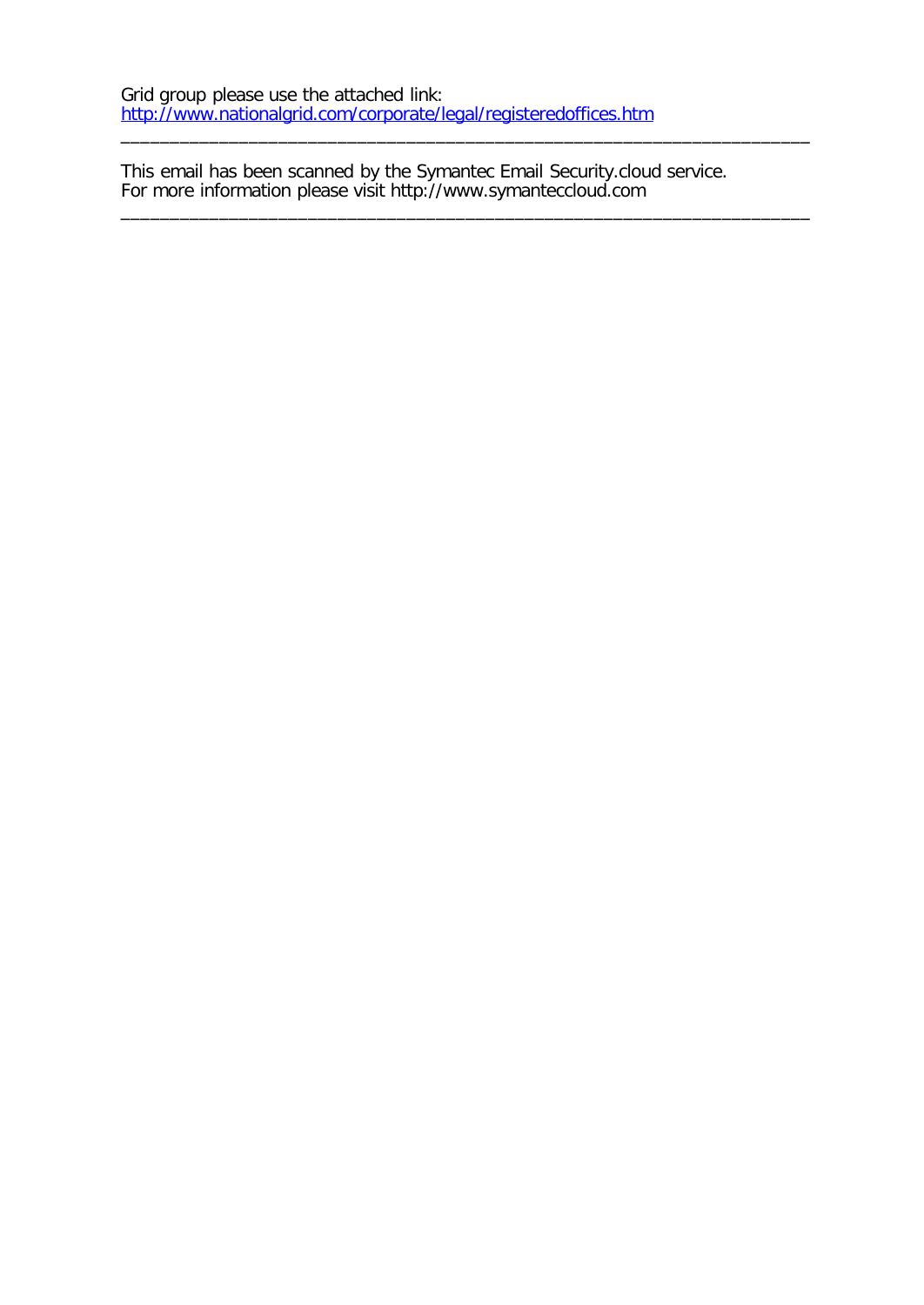This email has been scanned by the Symantec Email Security.cloud service. For more information please visit http://www.symanteccloud.com

\_\_\_\_\_\_\_\_\_\_\_\_\_\_\_\_\_\_\_\_\_\_\_\_\_\_\_\_\_\_\_\_\_\_\_\_\_\_\_\_\_\_\_\_\_\_\_\_\_\_\_\_\_\_\_\_\_\_\_\_\_\_\_\_\_\_\_\_\_\_

\_\_\_\_\_\_\_\_\_\_\_\_\_\_\_\_\_\_\_\_\_\_\_\_\_\_\_\_\_\_\_\_\_\_\_\_\_\_\_\_\_\_\_\_\_\_\_\_\_\_\_\_\_\_\_\_\_\_\_\_\_\_\_\_\_\_\_\_\_\_